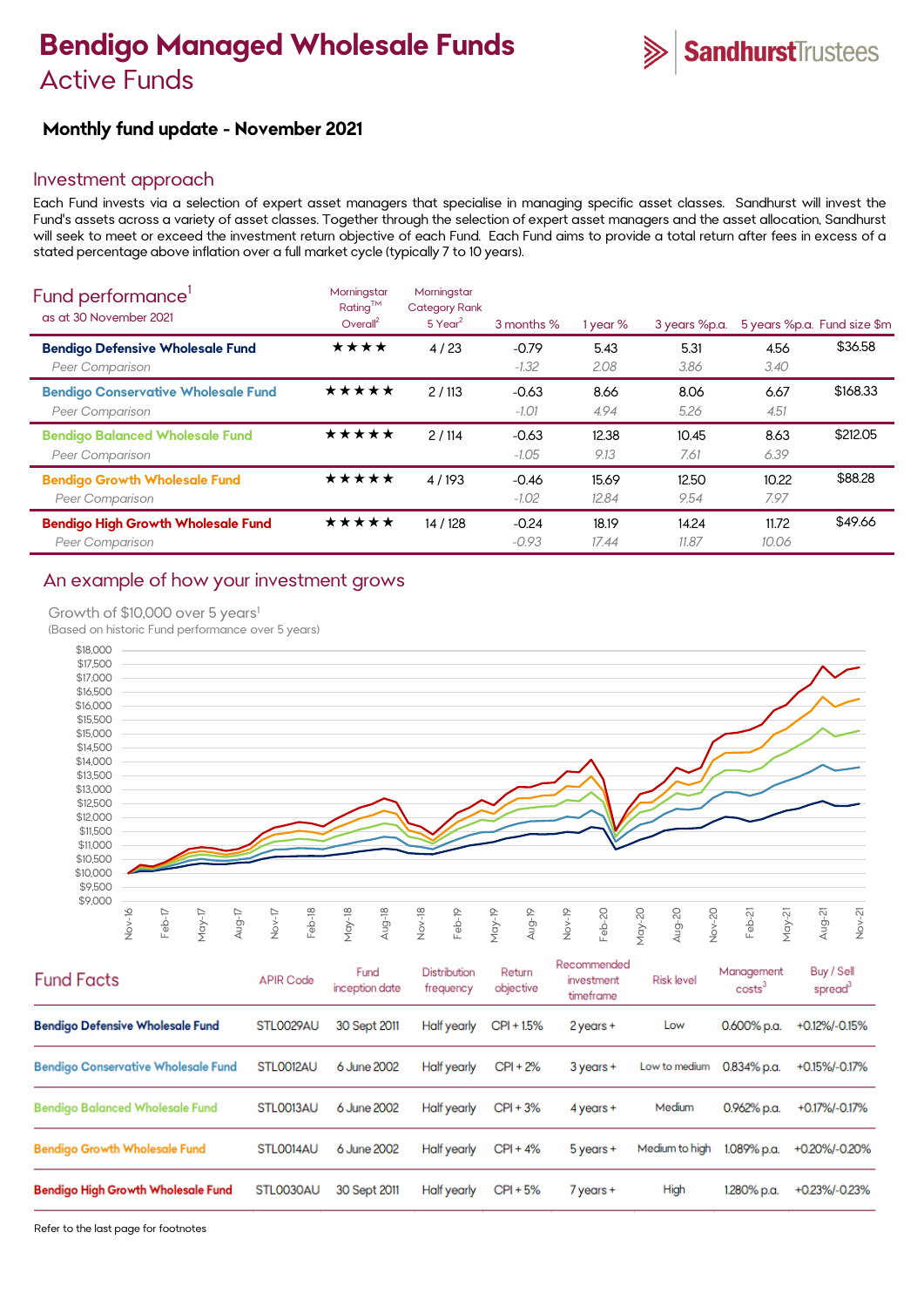# **Bendigo Managed Wholesale Funds**  Active Funds



# **Monthly fund update - November 2021**

### Investment approach

Each Fund invests via a selection of expert asset managers that specialise in managing specific asset classes. Sandhurst will invest the Fund's assets across a variety of asset classes. Together through the selection of expert asset managers and the asset allocation, Sandhurst will seek to meet or exceed the investment return objective of each Fund. Each Fund aims to provide a total return after fees in excess of a stated percentage above inflation over a full market cycle (typically 7 to 10 years).

| Fund performance'<br>as at 30 November 2021                         | Morningstar<br>Rating™<br>Overall <sup>2</sup> | Morningstar<br><b>Category Rank</b><br>$5$ Year <sup>2</sup> | 3 months %         | 1 year %       | 3 years %p.a.  |                | 5 years %p.a. Fund size \$m |
|---------------------------------------------------------------------|------------------------------------------------|--------------------------------------------------------------|--------------------|----------------|----------------|----------------|-----------------------------|
| <b>Bendigo Defensive Wholesale Fund</b><br>Peer Comparison          | ★★★★                                           | 4/23                                                         | $-0.79$<br>$-1.32$ | 5.43<br>2.08   | 5.31<br>3.86   | 4.56<br>3.40   | \$36.58                     |
| <b>Bendigo Conservative Wholesale Fund</b><br>Peer Comparison       | ★★★★★                                          | 2/113                                                        | $-0.63$<br>$-1.01$ | 8.66<br>4.94   | 8.06<br>5.26   | 6.67<br>4.51   | \$168.33                    |
| <b>Bendigo Balanced Wholesale Fund</b><br><b>Peer Comparison</b>    | ★★★★★                                          | 2/114                                                        | $-0.63$<br>$-1.05$ | 12.38<br>9.13  | 10.45<br>7.61  | 8.63<br>6.39   | \$212.05                    |
| <b>Bendigo Growth Wholesale Fund</b><br>Peer Comparison             | ★★★★★                                          | 4/193                                                        | $-0.46$<br>$-1.02$ | 15.69<br>12.84 | 12.50<br>9.54  | 10.22<br>7.97  | \$88.28                     |
| <b>Bendigo High Growth Wholesale Fund</b><br><b>Peer Comparison</b> | ★★★★★                                          | 14 / 128                                                     | $-0.24$<br>$-0.93$ | 18.19<br>17.44 | 14.24<br>11.87 | 11.72<br>10.06 | \$49.66                     |

### An example of how your investment grows

#### Growth of \$10,000 over 5 years<sup>1</sup>

(Based on historic Fund performance over 5 years)



| <b>Fund Facts</b>                          | <b>APIR Code</b> | Fund<br>inception date | Distribution<br>frequency | Return<br>objective | Recommended<br>investment<br>timeframe | <b>Risk level</b> | Management<br>costs <sup>3</sup> | Buy / Sell<br>spread <sup>3</sup> |
|--------------------------------------------|------------------|------------------------|---------------------------|---------------------|----------------------------------------|-------------------|----------------------------------|-----------------------------------|
| <b>Bendigo Defensive Wholesale Fund</b>    | STL0029AU        | 30 Sept 2011           | Half yearly               | $CPI + 1.5%$        | 2 years +                              | Low               | $0.600\%$ p.a.                   | +0.12%/-0.15%                     |
| <b>Bendigo Conservative Wholesale Fund</b> | STLO012AU        | 6 June 2002            | Half yearly               | $CPI + 2%$          | $3$ years $+$                          | Low to medium     | $0.834\%$ p.a.                   | +0.15%/-0.17%                     |
| <b>Bendigo Balanced Wholesale Fund</b>     | STLO013AU        | 6 June 2002            | Half yearly               | $CPI + 3%$          | $4$ years $+$                          | Medium            | 0.962% p.a.                      | +0.17%/-0.17%                     |
| <b>Bendigo Growth Wholesale Fund</b>       | STLO014AU        | 6 June 2002            | Half yearly               | $CPI + 4%$          | $5$ years $+$                          | Medium to high    | 1.089% p.a.                      | +0.20%/-0.20%                     |
| <b>Bendigo High Growth Wholesale Fund</b>  | STL0030AU        | 30 Sept 2011           | Half yearly               | $CPI + 5%$          | 7 years +                              | High              | 1.280% p.a.                      | +0.23%/-0.23%                     |

Refer to the last page for footnotes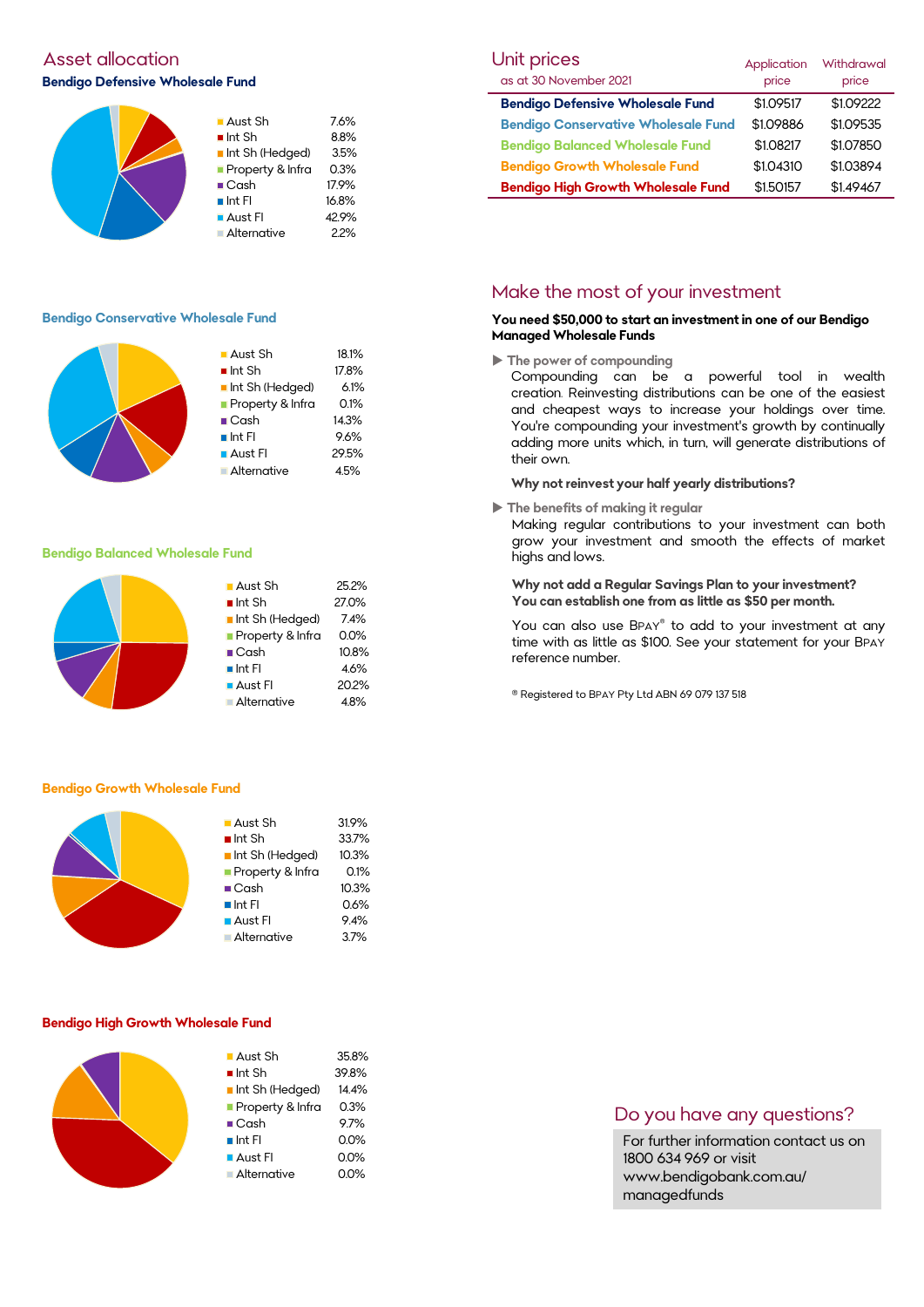## **Asset allocation Bendigo Defensive Wholesale Fund**



#### **Bendigo Conservative Wholesale Fund**



#### **Bendigo Balanced Wholesale Fund**

| 25.2%   |
|---------|
| 27.0%   |
| 7.4%    |
| $0.0\%$ |
| 10.8%   |
| 4.6%    |
| 20.2%   |
| 4.8%    |
|         |

#### **Bendigo Growth Wholesale Fund**



#### **Bendigo High Growth Wholesale Fund**



| Unit prices                                | Application | <b>Withdrawal</b> |
|--------------------------------------------|-------------|-------------------|
| as at 30 November 2021                     | price       | price             |
| <b>Bendigo Defensive Wholesale Fund</b>    | \$1.09517   | \$1.09222         |
| <b>Bendigo Conservative Wholesale Fund</b> | \$1.09886   | \$1.09535         |
| <b>Bendigo Balanced Wholesale Fund</b>     | \$1.08217   | \$1.07850         |
| <b>Bendigo Growth Wholesale Fund</b>       | \$1.04310   | \$1.03894         |
| <b>Bendigo High Growth Wholesale Fund</b>  | \$1.50157   | \$1.49467         |

### Make the most of your investment

#### **You need \$50,000 to start an investment in one of our Bendigo Managed Wholesale Funds**

**The power of compounding**

Compounding can be a powerful tool in wealth creation. Reinvesting distributions can be one of the easiest and cheapest ways to increase your holdings over time. You're compounding your investment's growth by continually adding more units which, in turn, will generate distributions of their own.

#### **Why not reinvest your half yearly distributions?**

**The benefits of making it regular**

Making regular contributions to your investment can both grow your investment and smooth the effects of market highs and lows.

#### **Why not add a Regular Savings Plan to your investment? You can establish one from as little as \$50 per month.**

You can also use BPAY® to add to your investment at any time with as little as \$100. See your statement for your BPAY reference number.

® Registered to BPAY Pty Ltd ABN 69 079 137 518

### Do you have any questions?

For further information contact us on 1800 634 969 or visit www.bendigobank.com.au/ managedfunds